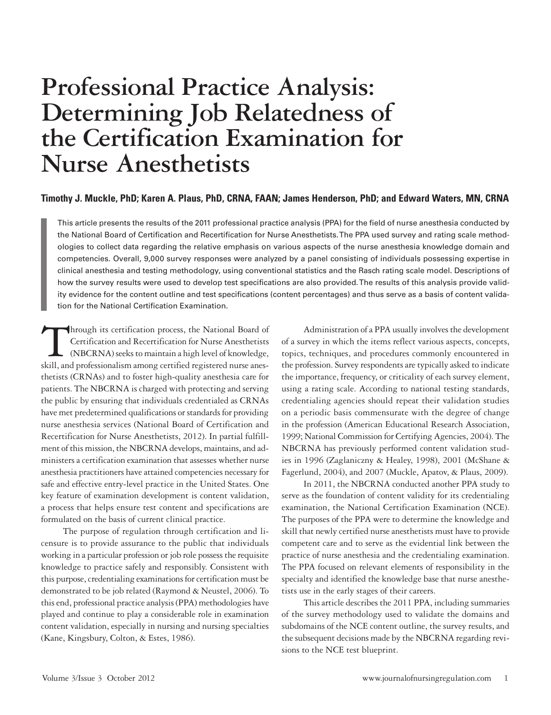# **Professional Practice Analysis: Determining Job Relatedness of the Certification Examination for Nurse Anesthetists**

## **Timothy J. Muckle, PhD; Karen A. Plaus, PhD, CRNA, FAAN; James Henderson, PhD; and Edward Waters, MN, CRNA**

This article presents the results of the 2011 professional practice analysis (PPA) for the field of nurse anesthesia conducted by the National Board of Certification and Recertification for Nurse Anesthetists. The PPA used survey and rating scale methodologies to collect data regarding the relative emphasis on various aspects of the nurse anesthesia knowledge domain and competencies. Overall, 9,000 survey responses were analyzed by a panel consisting of individuals possessing expertise in clinical anesthesia and testing methodology, using conventional statistics and the Rasch rating scale model. Descriptions of how the survey results were used to develop test specifications are also provided. The results of this analysis provide validity evidence for the content outline and test specifications (content percentages) and thus serve as a basis of content validation for the National Certification Examination.

Through its certification process, the National Board of Certification and Recertification for Nurse Anesthetists (NBCRNA) seeks to maintain a high level of knowledge, skill, and professionalism among certified registered nurse anesthetists (CRNAs) and to foster high-quality anesthesia care for patients. The NBCRNA is charged with protecting and serving the public by ensuring that individuals credentialed as CRNAs have met predetermined qualifications or standards for providing nurse anesthesia services (National Board of Certification and Recertification for Nurse Anesthetists, 2012). In partial fulfillment of this mission, the NBCRNA develops, maintains, and administers a certification examination that assesses whether nurse anesthesia practitioners have attained competencies necessary for safe and effective entry-level practice in the United States. One key feature of examination development is content validation, a process that helps ensure test content and specifications are formulated on the basis of current clinical practice.

The purpose of regulation through certification and licensure is to provide assurance to the public that individuals working in a particular profession or job role possess the requisite knowledge to practice safely and responsibly. Consistent with this purpose, credentialing examinations for certification must be demonstrated to be job related (Raymond & Neustel, 2006). To this end, professional practice analysis (PPA) methodologies have played and continue to play a considerable role in examination content validation, especially in nursing and nursing specialties (Kane, Kingsbury, Colton, & Estes, 1986).

Administration of a PPA usually involves the development of a survey in which the items reflect various aspects, concepts, topics, techniques, and procedures commonly encountered in the profession. Survey respondents are typically asked to indicate the importance, frequency, or criticality of each survey element, using a rating scale. According to national testing standards, credentialing agencies should repeat their validation studies on a periodic basis commensurate with the degree of change in the profession (American Educational Research Association, 1999; National Commission for Certifying Agencies, 2004). The NBCRNA has previously performed content validation studies in 1996 (Zaglaniczny & Healey, 1998), 2001 (McShane & Fagerlund, 2004), and 2007 (Muckle, Apatov, & Plaus, 2009).

In 2011, the NBCRNA conducted another PPA study to serve as the foundation of content validity for its credentialing examination, the National Certification Examination (NCE). The purposes of the PPA were to determine the knowledge and skill that newly certified nurse anesthetists must have to provide competent care and to serve as the evidential link between the practice of nurse anesthesia and the credentialing examination. The PPA focused on relevant elements of responsibility in the specialty and identified the knowledge base that nurse anesthetists use in the early stages of their careers.

This article describes the 2011 PPA, including summaries of the survey methodology used to validate the domains and subdomains of the NCE content outline, the survey results, and the subsequent decisions made by the NBCRNA regarding revisions to the NCE test blueprint.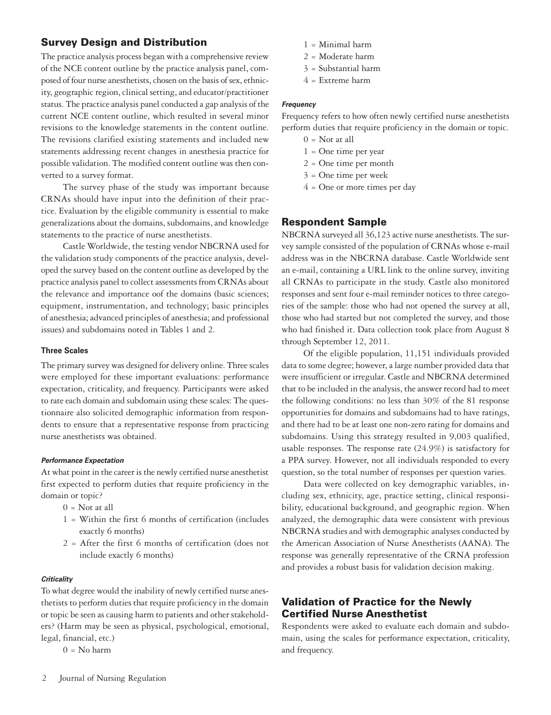# Survey Design and Distribution

The practice analysis process began with a comprehensive review of the NCE content outline by the practice analysis panel, composed of four nurse anesthetists, chosen on the basis of sex, ethnicity, geographic region, clinical setting, and educator/practitioner status. The practice analysis panel conducted a gap analysis of the current NCE content outline, which resulted in several minor revisions to the knowledge statements in the content outline. The revisions clarified existing statements and included new statements addressing recent changes in anesthesia practice for possible validation. The modified content outline was then converted to a survey format.

The survey phase of the study was important because CRNAs should have input into the definition of their practice. Evaluation by the eligible community is essential to make generalizations about the domains, subdomains, and knowledge statements to the practice of nurse anesthetists.

Castle Worldwide, the testing vendor NBCRNA used for the validation study components of the practice analysis, developed the survey based on the content outline as developed by the practice analysis panel to collect assessments from CRNAs about the relevance and importance oof the domains (basic sciences; equipment, instrumentation, and technology; basic principles of anesthesia; advanced principles of anesthesia; and professional issues) and subdomains noted in Tables 1 and 2.

#### **Three Scales**

The primary survey was designed for delivery online. Three scales were employed for these important evaluations: performance expectation, criticality, and frequency. Participants were asked to rate each domain and subdomain using these scales: The questionnaire also solicited demographic information from respondents to ensure that a representative response from practicing nurse anesthetists was obtained.

#### *Performance Expectation*

At what point in the career is the newly certified nurse anesthetist first expected to perform duties that require proficiency in the domain or topic?

- $0 = Not at all$
- 1 = Within the first 6 months of certification (includes exactly 6 months)
- 2 = After the first 6 months of certification (does not include exactly 6 months)

#### *Criticality*

To what degree would the inability of newly certified nurse anesthetists to perform duties that require proficiency in the domain or topic be seen as causing harm to patients and other stakeholders? (Harm may be seen as physical, psychological, emotional, legal, financial, etc.)

 $0 = No$  harm

- $1 =$ Minimal harm
- 2 = Moderate harm
- 3 = Substantial harm
- $4$  = Extreme harm

#### *Frequency*

Frequency refers to how often newly certified nurse anesthetists perform duties that require proficiency in the domain or topic.

- $0 = Not at all$
- $1 =$ One time per year
- 2 = One time per month
- $3$  = One time per week
- $4 =$ One or more times per day

## Respondent Sample

NBCRNA surveyed all 36,123 active nurse anesthetists. The survey sample consisted of the population of CRNAs whose e-mail address was in the NBCRNA database. Castle Worldwide sent an e-mail, containing a URL link to the online survey, inviting all CRNAs to participate in the study. Castle also monitored responses and sent four e-mail reminder notices to three categories of the sample: those who had not opened the survey at all, those who had started but not completed the survey, and those who had finished it. Data collection took place from August 8 through September 12, 2011.

Of the eligible population, 11,151 individuals provided data to some degree; however, a large number provided data that were insufficient or irregular. Castle and NBCRNA determined that to be included in the analysis, the answer record had to meet the following conditions: no less than 30% of the 81 response opportunities for domains and subdomains had to have ratings, and there had to be at least one non-zero rating for domains and subdomains. Using this strategy resulted in 9,003 qualified, usable responses. The response rate (24.9%) is satisfactory for a PPA survey. However, not all individuals responded to every question, so the total number of responses per question varies.

Data were collected on key demographic variables, including sex, ethnicity, age, practice setting, clinical responsibility, educational background, and geographic region. When analyzed, the demographic data were consistent with previous NBCRNA studies and with demographic analyses conducted by the American Association of Nurse Anesthetists (AANA). The response was generally representative of the CRNA profession and provides a robust basis for validation decision making.

# Validation of Practice for the Newly Certified Nurse Anesthetist

Respondents were asked to evaluate each domain and subdomain, using the scales for performance expectation, criticality, and frequency.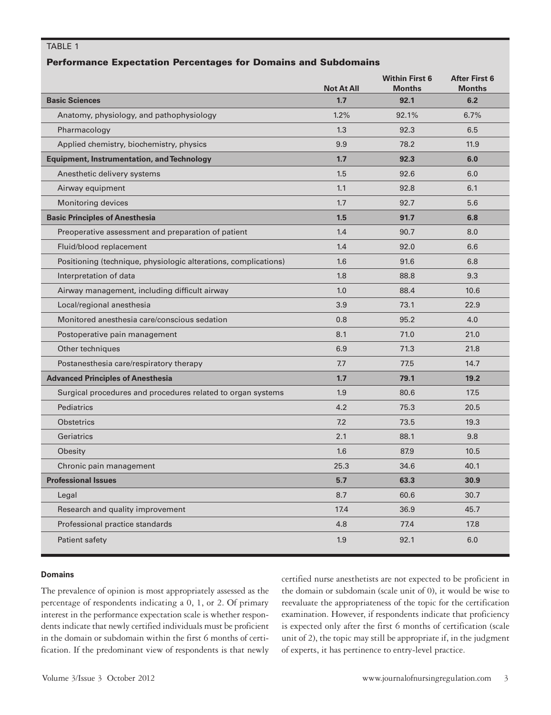## TABLE 1

## Performance Expectation Percentages for Domains and Subdomains

|                                                                 | <b>Not At All</b> | <b>Within First 6</b><br><b>Months</b> | <b>After First 6</b><br><b>Months</b> |
|-----------------------------------------------------------------|-------------------|----------------------------------------|---------------------------------------|
| <b>Basic Sciences</b>                                           | 1.7               | 92.1                                   | 6.2                                   |
| Anatomy, physiology, and pathophysiology                        | 1.2%              | 92.1%                                  | 6.7%                                  |
| Pharmacology                                                    | 1.3               | 92.3                                   | 6.5                                   |
| Applied chemistry, biochemistry, physics                        | 9.9               | 78.2                                   | 11.9                                  |
| <b>Equipment, Instrumentation, and Technology</b>               | 1.7               | 92.3                                   | 6.0                                   |
| Anesthetic delivery systems                                     | 1.5               | 92.6                                   | 6.0                                   |
| Airway equipment                                                | 1.1               | 92.8                                   | 6.1                                   |
| Monitoring devices                                              | 1.7               | 92.7                                   | 5.6                                   |
| <b>Basic Principles of Anesthesia</b>                           | 1.5               | 91.7                                   | 6.8                                   |
| Preoperative assessment and preparation of patient              | 1.4               | 90.7                                   | 8.0                                   |
| Fluid/blood replacement                                         | 1.4               | 92.0                                   | 6.6                                   |
| Positioning (technique, physiologic alterations, complications) | 1.6               | 91.6                                   | 6.8                                   |
| Interpretation of data                                          | 1.8               | 88.8                                   | 9.3                                   |
| Airway management, including difficult airway                   | 1.0               | 88.4                                   | 10.6                                  |
| Local/regional anesthesia                                       | 3.9               | 73.1                                   | 22.9                                  |
| Monitored anesthesia care/conscious sedation                    | 0.8               | 95.2                                   | 4.0                                   |
| Postoperative pain management                                   | 8.1               | 71.0                                   | 21.0                                  |
| Other techniques                                                | 6.9               | 71.3                                   | 21.8                                  |
| Postanesthesia care/respiratory therapy                         | 7.7               | 77.5                                   | 14.7                                  |
| <b>Advanced Principles of Anesthesia</b>                        | 1.7               | 79.1                                   | 19.2                                  |
| Surgical procedures and procedures related to organ systems     | 1.9               | 80.6                                   | 17.5                                  |
| Pediatrics                                                      | 4.2               | 75.3                                   | 20.5                                  |
| <b>Obstetrics</b>                                               | 7.2               | 73.5                                   | 19.3                                  |
| Geriatrics                                                      | 2.1               | 88.1                                   | 9.8                                   |
| Obesity                                                         | 1.6               | 87.9                                   | 10.5                                  |
| Chronic pain management                                         | 25.3              | 34.6                                   | 40.1                                  |
| <b>Professional Issues</b>                                      | 5.7               | 63.3                                   | 30.9                                  |
| Legal                                                           | 8.7               | 60.6                                   | 30.7                                  |
| Research and quality improvement                                | 17.4              | 36.9                                   | 45.7                                  |
| Professional practice standards                                 | 4.8               | 77.4                                   | 17.8                                  |
| Patient safety                                                  | 1.9               | 92.1                                   | 6.0                                   |

#### **Domains**

The prevalence of opinion is most appropriately assessed as the percentage of respondents indicating a 0, 1, or 2. Of primary interest in the performance expectation scale is whether respondents indicate that newly certified individuals must be proficient in the domain or subdomain within the first 6 months of certification. If the predominant view of respondents is that newly certified nurse anesthetists are not expected to be proficient in the domain or subdomain (scale unit of 0), it would be wise to reevaluate the appropriateness of the topic for the certification examination. However, if respondents indicate that proficiency is expected only after the first 6 months of certification (scale unit of 2), the topic may still be appropriate if, in the judgment of experts, it has pertinence to entry-level practice.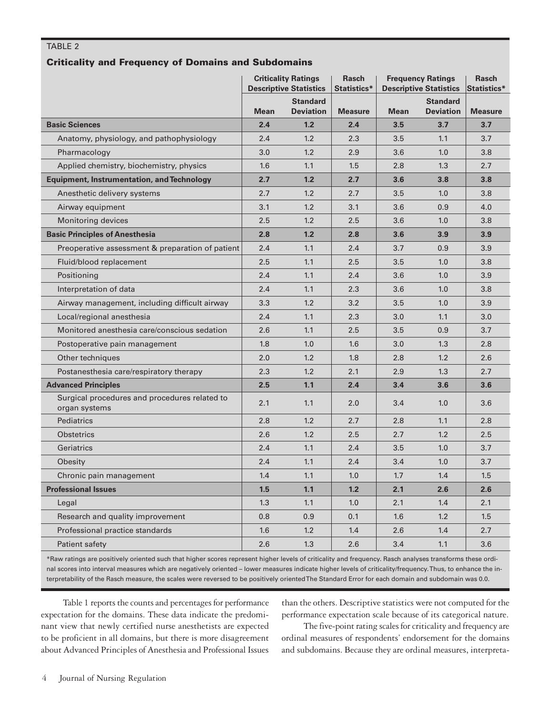# Table 2

## Criticality and Frequency of Domains and Subdomains

|                                                                | <b>Criticality Ratings</b><br><b>Descriptive Statistics</b> |                  | <b>Rasch</b><br><b>Statistics*</b> | <b>Frequency Ratings</b><br><b>Descriptive Statistics</b> |                  | <b>Rasch</b><br>Statistics* |
|----------------------------------------------------------------|-------------------------------------------------------------|------------------|------------------------------------|-----------------------------------------------------------|------------------|-----------------------------|
|                                                                |                                                             | <b>Standard</b>  |                                    |                                                           | <b>Standard</b>  |                             |
|                                                                | <b>Mean</b>                                                 | <b>Deviation</b> | <b>Measure</b>                     | <b>Mean</b>                                               | <b>Deviation</b> | <b>Measure</b>              |
| <b>Basic Sciences</b>                                          | 2.4                                                         | 1.2              | 2.4                                | 3.5                                                       | 3.7              | 3.7                         |
| Anatomy, physiology, and pathophysiology                       | 2.4                                                         | 1.2              | 2.3                                | 3.5                                                       | 1.1              | 3.7                         |
| Pharmacology                                                   | 3.0                                                         | 1.2              | 2.9                                | 3.6                                                       | 1.0              | 3.8                         |
| Applied chemistry, biochemistry, physics                       | 1.6                                                         | 1.1              | 1.5                                | 2.8                                                       | 1.3              | 2.7                         |
| <b>Equipment, Instrumentation, and Technology</b>              | 2.7                                                         | 1.2              | 2.7                                | 3.6                                                       | 3.8              | 3.8                         |
| Anesthetic delivery systems                                    | 2.7                                                         | 1.2              | 2.7                                | 3.5                                                       | 1.0              | 3.8                         |
| Airway equipment                                               | 3.1                                                         | 1.2              | 3.1                                | 3.6                                                       | 0.9              | 4.0                         |
| <b>Monitoring devices</b>                                      | 2.5                                                         | 1.2              | 2.5                                | 3.6                                                       | 1.0              | 3.8                         |
| <b>Basic Principles of Anesthesia</b>                          | 2.8                                                         | 1.2              | 2.8                                | 3.6                                                       | 3.9              | 3.9                         |
| Preoperative assessment & preparation of patient               | 2.4                                                         | 1.1              | 2.4                                | 3.7                                                       | 0.9              | 3.9                         |
| Fluid/blood replacement                                        | 2.5                                                         | 1.1              | 2.5                                | 3.5                                                       | 1.0              | 3.8                         |
| Positioning                                                    | 2.4                                                         | 1.1              | 2.4                                | 3.6                                                       | 1.0              | 3.9                         |
| Interpretation of data                                         | 2.4                                                         | 1.1              | 2.3                                | 3.6                                                       | 1.0              | 3.8                         |
| Airway management, including difficult airway                  | 3.3                                                         | 1.2              | 3.2                                | 3.5                                                       | 1.0              | 3.9                         |
| Local/regional anesthesia                                      | 2.4                                                         | 1.1              | 2.3                                | 3.0                                                       | 1.1              | 3.0                         |
| Monitored anesthesia care/conscious sedation                   | 2.6                                                         | 1.1              | 2.5                                | 3.5                                                       | 0.9              | 3.7                         |
| Postoperative pain management                                  | 1.8                                                         | 1.0              | 1.6                                | 3.0                                                       | 1.3              | 2.8                         |
| Other techniques                                               | 2.0                                                         | 1.2              | 1.8                                | 2.8                                                       | 1.2              | 2.6                         |
| Postanesthesia care/respiratory therapy                        | 2.3                                                         | 1.2              | 2.1                                | 2.9                                                       | 1.3              | 2.7                         |
| <b>Advanced Principles</b>                                     | 2.5                                                         | 1.1              | 2.4                                | 3.4                                                       | 3.6              | 3.6                         |
| Surgical procedures and procedures related to<br>organ systems | 2.1                                                         | 1.1              | 2.0                                | 3.4                                                       | 1.0              | 3.6                         |
| Pediatrics                                                     | 2.8                                                         | 1.2              | 2.7                                | 2.8                                                       | 1.1              | 2.8                         |
| <b>Obstetrics</b>                                              | 2.6                                                         | 1.2              | 2.5                                | 2.7                                                       | 1.2              | 2.5                         |
| Geriatrics                                                     | 2.4                                                         | 1.1              | 2.4                                | 3.5                                                       | 1.0              | 3.7                         |
| Obesity                                                        | 2.4                                                         | 1.1              | 2.4                                | 3.4                                                       | 1.0              | 3.7                         |
| Chronic pain management                                        | 1.4                                                         | 1.1              | 1.0                                | 1.7                                                       | 1.4              | 1.5                         |
| <b>Professional Issues</b>                                     | 1.5                                                         | 1.1              | 1.2                                | 2.1                                                       | 2.6              | 2.6                         |
| Legal                                                          | 1.3                                                         | 1.1              | 1.0                                | 2.1                                                       | 1.4              | 2.1                         |
| Research and quality improvement                               | 0.8                                                         | 0.9              | 0.1                                | 1.6                                                       | 1.2              | 1.5                         |
| Professional practice standards                                | 1.6                                                         | 1.2              | 1.4                                | 2.6                                                       | 1.4              | 2.7                         |
| Patient safety                                                 | 2.6                                                         | 1.3              | 2.6                                | 3.4                                                       | 1.1              | 3.6                         |

\*Raw ratings are positively oriented such that higher scores represent higher levels of criticality and frequency. Rasch analyses transforms these ordinal scores into interval measures which are negatively oriented – lower measures indicate higher levels of criticality/frequency. Thus, to enhance the interpretability of the Rasch measure, the scales were reversed to be positively oriented The Standard Error for each domain and subdomain was 0.0.

Table 1 reports the counts and percentages for performance expectation for the domains. These data indicate the predominant view that newly certified nurse anesthetists are expected to be proficient in all domains, but there is more disagreement about Advanced Principles of Anesthesia and Professional Issues than the others. Descriptive statistics were not computed for the performance expectation scale because of its categorical nature.

The five-point rating scales for criticality and frequency are ordinal measures of respondents' endorsement for the domains and subdomains. Because they are ordinal measures, interpreta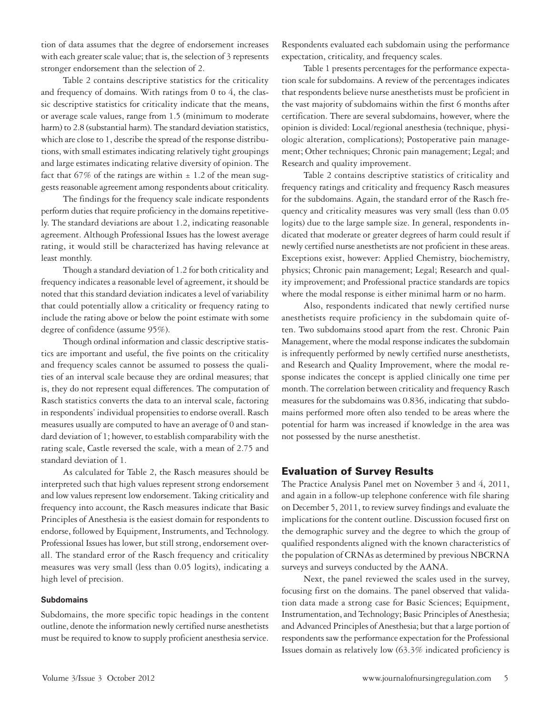tion of data assumes that the degree of endorsement increases with each greater scale value; that is, the selection of 3 represents stronger endorsement than the selection of 2.

Table 2 contains descriptive statistics for the criticality and frequency of domains. With ratings from 0 to 4, the classic descriptive statistics for criticality indicate that the means, or average scale values, range from 1.5 (minimum to moderate harm) to 2.8 (substantial harm). The standard deviation statistics, which are close to 1, describe the spread of the response distributions, with small estimates indicating relatively tight groupings and large estimates indicating relative diversity of opinion. The fact that 67% of the ratings are within  $\pm$  1.2 of the mean suggests reasonable agreement among respondents about criticality.

The findings for the frequency scale indicate respondents perform duties that require proficiency in the domains repetitively. The standard deviations are about 1.2, indicating reasonable agreement. Although Professional Issues has the lowest average rating, it would still be characterized has having relevance at least monthly.

Though a standard deviation of 1.2 for both criticality and frequency indicates a reasonable level of agreement, it should be noted that this standard deviation indicates a level of variability that could potentially allow a criticality or frequency rating to include the rating above or below the point estimate with some degree of confidence (assume 95%).

Though ordinal information and classic descriptive statistics are important and useful, the five points on the criticality and frequency scales cannot be assumed to possess the qualities of an interval scale because they are ordinal measures; that is, they do not represent equal differences. The computation of Rasch statistics converts the data to an interval scale, factoring in respondents' individual propensities to endorse overall. Rasch measures usually are computed to have an average of 0 and standard deviation of 1; however, to establish comparability with the rating scale, Castle reversed the scale, with a mean of 2.75 and standard deviation of 1.

As calculated for Table 2, the Rasch measures should be interpreted such that high values represent strong endorsement and low values represent low endorsement. Taking criticality and frequency into account, the Rasch measures indicate that Basic Principles of Anesthesia is the easiest domain for respondents to endorse, followed by Equipment, Instruments, and Technology. Professional Issues has lower, but still strong, endorsement overall. The standard error of the Rasch frequency and criticality measures was very small (less than 0.05 logits), indicating a high level of precision.

## **Subdomains**

Subdomains, the more specific topic headings in the content outline, denote the information newly certified nurse anesthetists must be required to know to supply proficient anesthesia service.

Respondents evaluated each subdomain using the performance expectation, criticality, and frequency scales.

Table 1 presents percentages for the performance expectation scale for subdomains. A review of the percentages indicates that respondents believe nurse anesthetists must be proficient in the vast majority of subdomains within the first 6 months after certification. There are several subdomains, however, where the opinion is divided: Local/regional anesthesia (technique, physiologic alteration, complications); Postoperative pain management; Other techniques; Chronic pain management; Legal; and Research and quality improvement.

Table 2 contains descriptive statistics of criticality and frequency ratings and criticality and frequency Rasch measures for the subdomains. Again, the standard error of the Rasch frequency and criticality measures was very small (less than 0.05 logits) due to the large sample size. In general, respondents indicated that moderate or greater degrees of harm could result if newly certified nurse anesthetists are not proficient in these areas. Exceptions exist, however: Applied Chemistry, biochemistry, physics; Chronic pain management; Legal; Research and quality improvement; and Professional practice standards are topics where the modal response is either minimal harm or no harm.

Also, respondents indicated that newly certified nurse anesthetists require proficiency in the subdomain quite often. Two subdomains stood apart from the rest. Chronic Pain Management, where the modal response indicates the subdomain is infrequently performed by newly certified nurse anesthetists, and Research and Quality Improvement, where the modal response indicates the concept is applied clinically one time per month. The correlation between criticality and frequency Rasch measures for the subdomains was 0.836, indicating that subdomains performed more often also tended to be areas where the potential for harm was increased if knowledge in the area was not possessed by the nurse anesthetist.

## Evaluation of Survey Results

The Practice Analysis Panel met on November 3 and 4, 2011, and again in a follow-up telephone conference with file sharing on December 5, 2011, to review survey findings and evaluate the implications for the content outline. Discussion focused first on the demographic survey and the degree to which the group of qualified respondents aligned with the known characteristics of the population of CRNAs as determined by previous NBCRNA surveys and surveys conducted by the AANA.

Next, the panel reviewed the scales used in the survey, focusing first on the domains. The panel observed that validation data made a strong case for Basic Sciences; Equipment, Instrumentation, and Technology; Basic Principles of Anesthesia; and Advanced Principles of Anesthesia; but that a large portion of respondents saw the performance expectation for the Professional Issues domain as relatively low (63.3% indicated proficiency is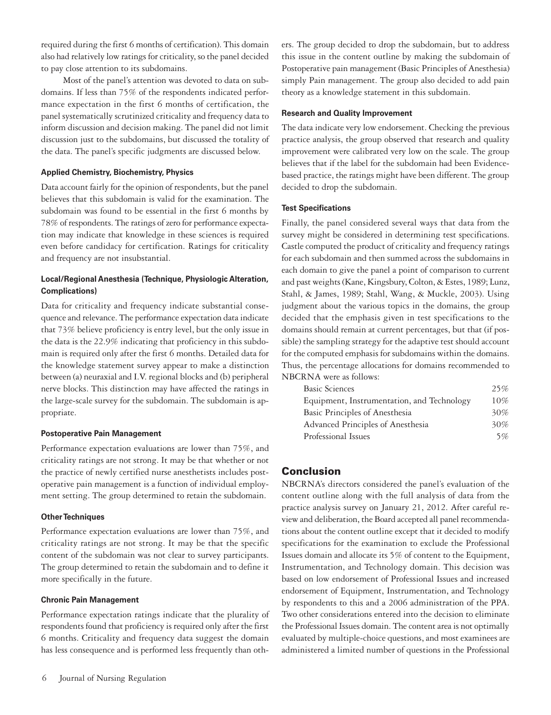required during the first 6 months of certification). This domain also had relatively low ratings for criticality, so the panel decided to pay close attention to its subdomains.

Most of the panel's attention was devoted to data on subdomains. If less than 75% of the respondents indicated performance expectation in the first 6 months of certification, the panel systematically scrutinized criticality and frequency data to inform discussion and decision making. The panel did not limit discussion just to the subdomains, but discussed the totality of the data. The panel's specific judgments are discussed below.

## **Applied Chemistry, Biochemistry, Physics**

Data account fairly for the opinion of respondents, but the panel believes that this subdomain is valid for the examination. The subdomain was found to be essential in the first 6 months by 78% of respondents. The ratings of zero for performance expectation may indicate that knowledge in these sciences is required even before candidacy for certification. Ratings for criticality and frequency are not insubstantial.

## **Local/Regional Anesthesia (Technique, Physiologic Alteration, Complications)**

Data for criticality and frequency indicate substantial consequence and relevance. The performance expectation data indicate that 73% believe proficiency is entry level, but the only issue in the data is the 22.9% indicating that proficiency in this subdomain is required only after the first 6 months. Detailed data for the knowledge statement survey appear to make a distinction between (a) neuraxial and I.V. regional blocks and (b) peripheral nerve blocks. This distinction may have affected the ratings in the large-scale survey for the subdomain. The subdomain is appropriate.

## **Postoperative Pain Management**

Performance expectation evaluations are lower than 75%, and criticality ratings are not strong. It may be that whether or not the practice of newly certified nurse anesthetists includes postoperative pain management is a function of individual employment setting. The group determined to retain the subdomain.

## **Other Techniques**

Performance expectation evaluations are lower than 75%, and criticality ratings are not strong. It may be that the specific content of the subdomain was not clear to survey participants. The group determined to retain the subdomain and to define it more specifically in the future.

## **Chronic Pain Management**

Performance expectation ratings indicate that the plurality of respondents found that proficiency is required only after the first 6 months. Criticality and frequency data suggest the domain has less consequence and is performed less frequently than others. The group decided to drop the subdomain, but to address this issue in the content outline by making the subdomain of Postoperative pain management (Basic Principles of Anesthesia) simply Pain management. The group also decided to add pain theory as a knowledge statement in this subdomain.

## **Research and Quality Improvement**

The data indicate very low endorsement. Checking the previous practice analysis, the group observed that research and quality improvement were calibrated very low on the scale. The group believes that if the label for the subdomain had been Evidencebased practice, the ratings might have been different. The group decided to drop the subdomain.

## **Test Specifications**

Finally, the panel considered several ways that data from the survey might be considered in determining test specifications. Castle computed the product of criticality and frequency ratings for each subdomain and then summed across the subdomains in each domain to give the panel a point of comparison to current and past weights (Kane, Kingsbury, Colton, & Estes, 1989; Lunz, Stahl, & James, 1989; Stahl, Wang, & Muckle, 2003). Using judgment about the various topics in the domains, the group decided that the emphasis given in test specifications to the domains should remain at current percentages, but that (if possible) the sampling strategy for the adaptive test should account for the computed emphasis for subdomains within the domains. Thus, the percentage allocations for domains recommended to NBCRNA were as follows:

| <b>Basic Sciences</b>                      | 25% |
|--------------------------------------------|-----|
| Equipment, Instrumentation, and Technology | 10% |
| Basic Principles of Anesthesia             | 30% |
| Advanced Principles of Anesthesia          | 30% |
| Professional Issues                        | 5%  |

# Conclusion

NBCRNA's directors considered the panel's evaluation of the content outline along with the full analysis of data from the practice analysis survey on January 21, 2012. After careful review and deliberation, the Board accepted all panel recommendations about the content outline except that it decided to modify specifications for the examination to exclude the Professional Issues domain and allocate its 5% of content to the Equipment, Instrumentation, and Technology domain. This decision was based on low endorsement of Professional Issues and increased endorsement of Equipment, Instrumentation, and Technology by respondents to this and a 2006 administration of the PPA. Two other considerations entered into the decision to eliminate the Professional Issues domain. The content area is not optimally evaluated by multiple-choice questions, and most examinees are administered a limited number of questions in the Professional